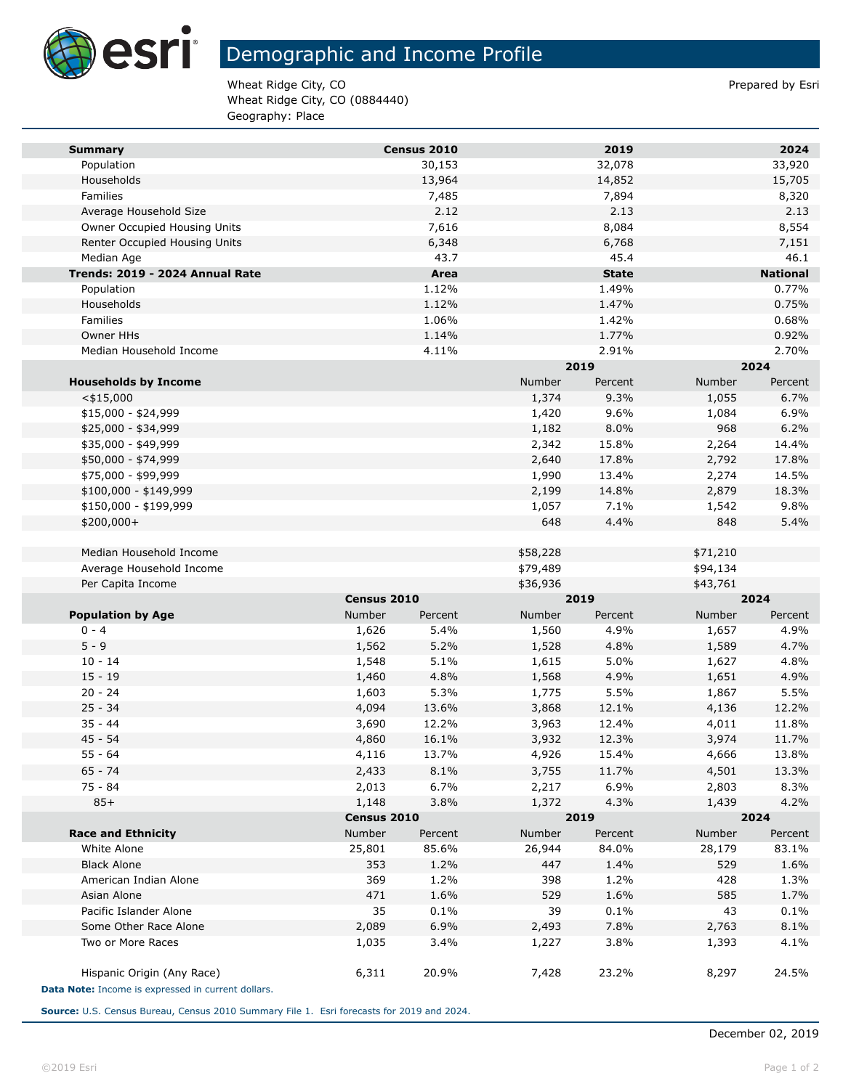

## Demographic and Income Profile

Wheat Ridge City, CO **Prepared by Estimate 2** Prepared by Esri Wheat Ridge City, CO (0884440) Geography: Place

| <b>Summary</b>                                     |                      | Census 2010  |                | 2019         |                | 2024            |
|----------------------------------------------------|----------------------|--------------|----------------|--------------|----------------|-----------------|
| Population                                         |                      | 30,153       |                | 32,078       |                | 33,920          |
| Households                                         |                      | 13,964       |                | 14,852       |                | 15,705          |
| Families                                           |                      | 7,485        |                | 7,894        |                | 8,320           |
| Average Household Size                             |                      | 2.12         |                | 2.13         |                | 2.13            |
| Owner Occupied Housing Units                       |                      | 7,616        |                | 8,084        |                | 8,554           |
| Renter Occupied Housing Units                      |                      | 6,348        |                | 6,768        |                | 7,151           |
| Median Age                                         |                      | 43.7         |                | 45.4         |                | 46.1            |
| Trends: 2019 - 2024 Annual Rate                    |                      | Area         |                | <b>State</b> |                | <b>National</b> |
| Population                                         |                      | 1.12%        |                | 1.49%        |                | 0.77%           |
| Households                                         |                      | 1.12%        |                | 1.47%        |                | 0.75%           |
| Families                                           |                      | 1.06%        |                | 1.42%        |                | 0.68%           |
| Owner HHs                                          |                      | 1.14%        |                | 1.77%        |                | 0.92%           |
| Median Household Income                            |                      | 4.11%        |                | 2.91%        |                | 2.70%           |
|                                                    |                      |              |                | 2019         |                | 2024            |
| <b>Households by Income</b>                        |                      |              | Number         | Percent      | Number         | Percent         |
| $<$ \$15,000                                       |                      |              | 1,374          | 9.3%         | 1,055          | 6.7%            |
| $$15,000 - $24,999$                                |                      |              | 1,420          | 9.6%         | 1,084          | 6.9%            |
| \$25,000 - \$34,999                                |                      |              | 1,182          | 8.0%         | 968            | 6.2%            |
| \$35,000 - \$49,999                                |                      |              | 2,342          | 15.8%        | 2,264          | 14.4%           |
| \$50,000 - \$74,999                                |                      |              | 2,640          | 17.8%        | 2,792          | 17.8%           |
| \$75,000 - \$99,999                                |                      |              | 1,990          | 13.4%        | 2,274          | 14.5%           |
| \$100,000 - \$149,999                              |                      |              | 2,199          | 14.8%        | 2,879          | 18.3%           |
| \$150,000 - \$199,999                              |                      |              | 1,057          | 7.1%         | 1,542          | 9.8%            |
| \$200,000+                                         |                      |              | 648            | 4.4%         | 848            | 5.4%            |
|                                                    |                      |              |                |              |                |                 |
| Median Household Income                            |                      |              | \$58,228       |              | \$71,210       |                 |
| Average Household Income                           |                      |              | \$79,489       |              | \$94,134       |                 |
| Per Capita Income                                  |                      |              | \$36,936       |              | \$43,761       |                 |
|                                                    | Census 2010          |              |                | 2019         |                | 2024            |
| <b>Population by Age</b>                           | Number               | Percent      | Number         | Percent      | Number         | Percent         |
| $0 - 4$<br>$5 - 9$                                 | 1,626                | 5.4%<br>5.2% | 1,560          | 4.9%<br>4.8% | 1,657          | 4.9%<br>4.7%    |
| $10 - 14$                                          | 1,562<br>1,548       | 5.1%         | 1,528<br>1,615 | 5.0%         | 1,589<br>1,627 | 4.8%            |
| $15 - 19$                                          |                      | 4.8%         | 1,568          | 4.9%         | 1,651          | 4.9%            |
| $20 - 24$                                          | 1,460<br>1,603       | 5.3%         | 1,775          | 5.5%         | 1,867          | 5.5%            |
| $25 - 34$                                          | 4,094                | 13.6%        | 3,868          | 12.1%        | 4,136          | 12.2%           |
| $35 - 44$                                          | 3,690                | 12.2%        | 3,963          | 12.4%        | 4,011          | 11.8%           |
| $45 - 54$                                          | 4,860                | 16.1%        | 3,932          | 12.3%        | 3,974          | 11.7%           |
| $55 - 64$                                          | 4,116                | 13.7%        | 4,926          | 15.4%        | 4,666          | 13.8%           |
| $65 - 74$                                          | 2,433                | 8.1%         | 3,755          | 11.7%        | 4,501          | 13.3%           |
| 75 - 84                                            | 2,013                | 6.7%         | 2,217          | 6.9%         | 2,803          | 8.3%            |
| $85+$                                              |                      |              |                |              |                |                 |
|                                                    | 1,148<br>Census 2010 | 3.8%         | 1,372          | 4.3%<br>2019 | 1,439          | 4.2%<br>2024    |
| <b>Race and Ethnicity</b>                          | Number               | Percent      | Number         | Percent      | Number         | Percent         |
| White Alone                                        | 25,801               | 85.6%        | 26,944         | 84.0%        | 28,179         | 83.1%           |
| <b>Black Alone</b>                                 | 353                  | 1.2%         | 447            | 1.4%         | 529            | 1.6%            |
| American Indian Alone                              | 369                  | 1.2%         | 398            | 1.2%         | 428            | 1.3%            |
| Asian Alone                                        | 471                  | 1.6%         | 529            | 1.6%         | 585            | 1.7%            |
| Pacific Islander Alone                             | 35                   | 0.1%         | 39             | 0.1%         | 43             | 0.1%            |
| Some Other Race Alone                              | 2,089                | 6.9%         | 2,493          | 7.8%         | 2,763          | 8.1%            |
| Two or More Races                                  | 1,035                | 3.4%         | 1,227          | 3.8%         | 1,393          | 4.1%            |
|                                                    |                      |              |                |              |                |                 |
| Hispanic Origin (Any Race)                         | 6,311                | 20.9%        | 7,428          | 23.2%        | 8,297          | 24.5%           |
| Data Note: Income is expressed in current dollars. |                      |              |                |              |                |                 |

**Source:** U.S. Census Bureau, Census 2010 Summary File 1. Esri forecasts for 2019 and 2024.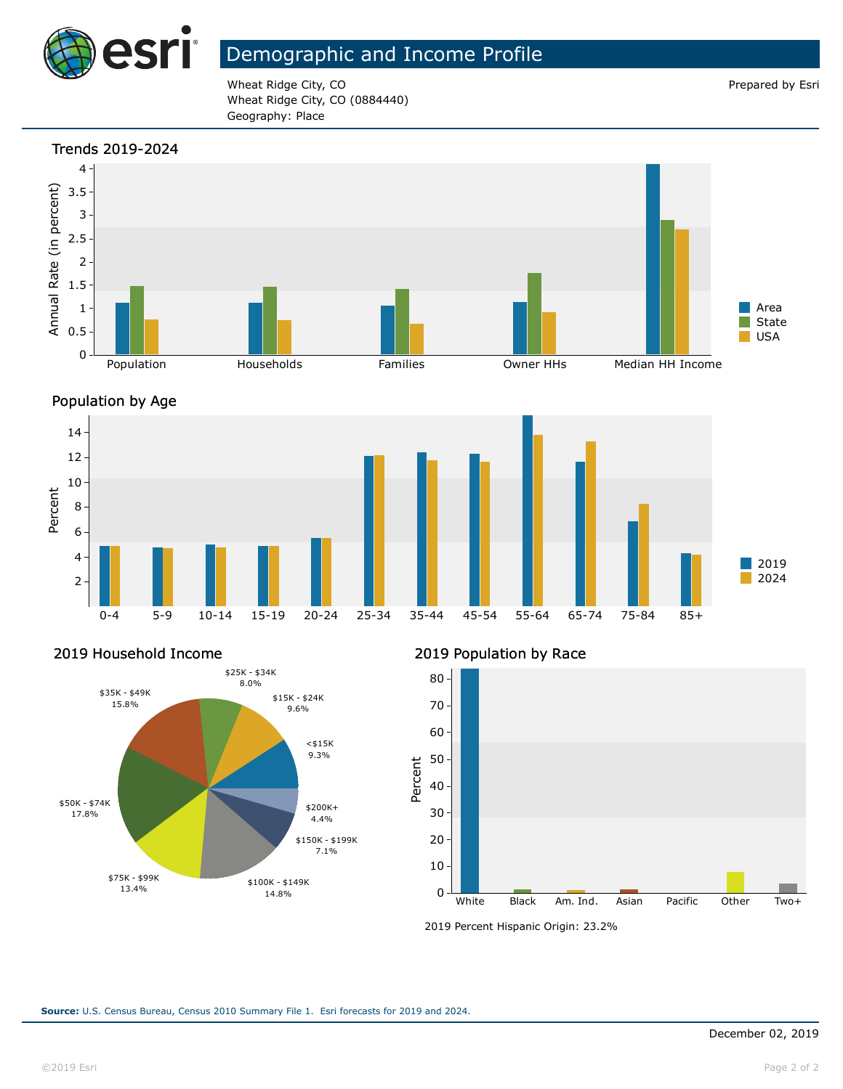

### Demographic and Income Profile

Wheat Ridge City, CO **Prepared by Estimate 2** and 2 and 2 and 2 and 2 and 2 and 2 and 2 and 2 and 2 and 2 and 2 and 2 and 2 and 2 and 2 and 2 and 2 and 2 and 2 and 2 and 2 and 2 and 2 and 2 and 2 and 2 and 2 and 2 and 2 an Wheat Ridge City, CO (0884440) Geography: Place









#### 2019 Household Income



2019 Population by Race



<sup>2019</sup> Percent Hispanic Origin: 23.2%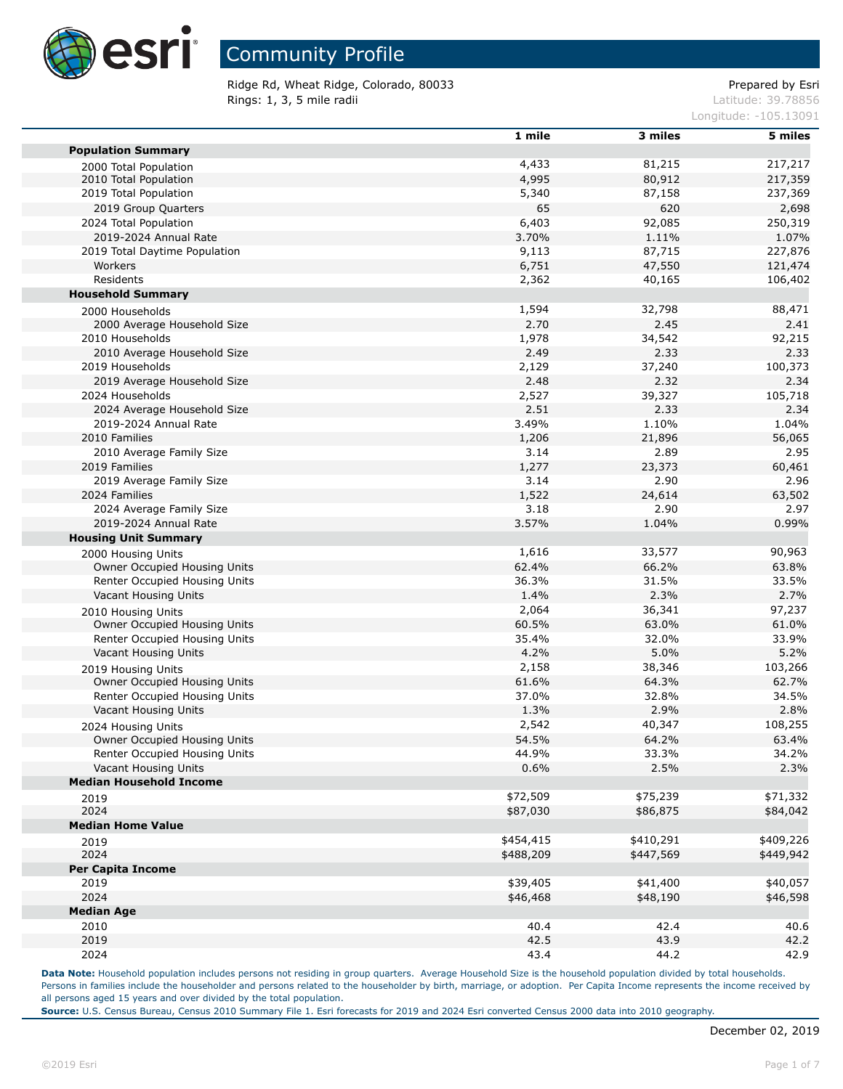

Ridge Rd, Wheat Ridge, Colorado, 80033 extending the part of the Prepared by Esri **Rings: 1, 3, 5 mile radii** Latitude: 39.78856

Longitude: -105.13091

|                                | 1 mile        | 3 miles        | 5 miles        |
|--------------------------------|---------------|----------------|----------------|
| <b>Population Summary</b>      |               |                |                |
| 2000 Total Population          | 4,433         | 81,215         | 217,217        |
| 2010 Total Population          | 4,995         | 80,912         | 217,359        |
| 2019 Total Population          | 5,340         | 87,158         | 237,369        |
| 2019 Group Quarters            | 65            | 620            | 2,698          |
| 2024 Total Population          | 6,403         | 92,085         | 250,319        |
| 2019-2024 Annual Rate          | 3.70%         | 1.11%          | 1.07%          |
| 2019 Total Daytime Population  | 9,113         | 87,715         | 227,876        |
| Workers                        | 6,751         | 47,550         | 121,474        |
| Residents                      | 2,362         | 40,165         | 106,402        |
| <b>Household Summary</b>       |               |                |                |
| 2000 Households                | 1,594         | 32,798         | 88,471         |
| 2000 Average Household Size    | 2.70          | 2.45           | 2.41           |
| 2010 Households                | 1,978         | 34,542         | 92,215         |
| 2010 Average Household Size    | 2.49          | 2.33           | 2.33           |
| 2019 Households                | 2,129         | 37,240         | 100,373        |
| 2019 Average Household Size    | 2.48          | 2.32           | 2.34           |
| 2024 Households                | 2,527         | 39,327         | 105,718        |
| 2024 Average Household Size    | 2.51          | 2.33           | 2.34           |
| 2019-2024 Annual Rate          | 3.49%         | 1.10%          | 1.04%          |
| 2010 Families                  |               |                |                |
| 2010 Average Family Size       | 1,206<br>3.14 | 21,896<br>2.89 | 56,065<br>2.95 |
|                                |               |                |                |
| 2019 Families                  | 1,277<br>3.14 | 23,373         | 60,461         |
| 2019 Average Family Size       |               | 2.90           | 2.96           |
| 2024 Families                  | 1,522         | 24,614         | 63,502         |
| 2024 Average Family Size       | 3.18          | 2.90           | 2.97           |
| 2019-2024 Annual Rate          | 3.57%         | 1.04%          | 0.99%          |
| <b>Housing Unit Summary</b>    |               |                |                |
| 2000 Housing Units             | 1,616         | 33,577         | 90,963         |
| Owner Occupied Housing Units   | 62.4%         | 66.2%          | 63.8%          |
| Renter Occupied Housing Units  | 36.3%         | 31.5%          | 33.5%          |
| Vacant Housing Units           | 1.4%          | 2.3%           | 2.7%           |
| 2010 Housing Units             | 2,064         | 36,341         | 97,237         |
| Owner Occupied Housing Units   | 60.5%         | 63.0%          | 61.0%          |
| Renter Occupied Housing Units  | 35.4%         | 32.0%          | 33.9%          |
| Vacant Housing Units           | 4.2%          | 5.0%           | 5.2%           |
| 2019 Housing Units             | 2,158         | 38,346         | 103,266        |
| Owner Occupied Housing Units   | 61.6%         | 64.3%          | 62.7%          |
| Renter Occupied Housing Units  | 37.0%         | 32.8%          | 34.5%          |
| Vacant Housing Units           | 1.3%          | 2.9%           | 2.8%           |
| 2024 Housing Units             | 2,542         | 40,347         | 108,255        |
| Owner Occupied Housing Units   | 54.5%         | 64.2%          | 63.4%          |
| Renter Occupied Housing Units  | 44.9%         | 33.3%          | 34.2%          |
| Vacant Housing Units           | 0.6%          | 2.5%           | 2.3%           |
| <b>Median Household Income</b> |               |                |                |
| 2019                           | \$72,509      | \$75,239       | \$71,332       |
| 2024                           | \$87,030      | \$86,875       | \$84,042       |
| <b>Median Home Value</b>       |               |                |                |
| 2019                           | \$454,415     | \$410,291      | \$409,226      |
| 2024                           | \$488,209     | \$447,569      | \$449,942      |
| <b>Per Capita Income</b>       |               |                |                |
| 2019                           | \$39,405      | \$41,400       | \$40,057       |
| 2024                           | \$46,468      | \$48,190       | \$46,598       |
| <b>Median Age</b>              |               |                |                |
| 2010                           | 40.4          | 42.4           | 40.6           |
| 2019                           | 42.5          | 43.9           | 42.2           |
|                                |               |                |                |
| 2024                           | 43.4          | 44.2           | 42.9           |

Data Note: Household population includes persons not residing in group quarters. Average Household Size is the household population divided by total households. Persons in families include the householder and persons related to the householder by birth, marriage, or adoption. Per Capita Income represents the income received by all persons aged 15 years and over divided by the total population.

**Source:** U.S. Census Bureau, Census 2010 Summary File 1. Esri forecasts for 2019 and 2024 Esri converted Census 2000 data into 2010 geography.

п

п

П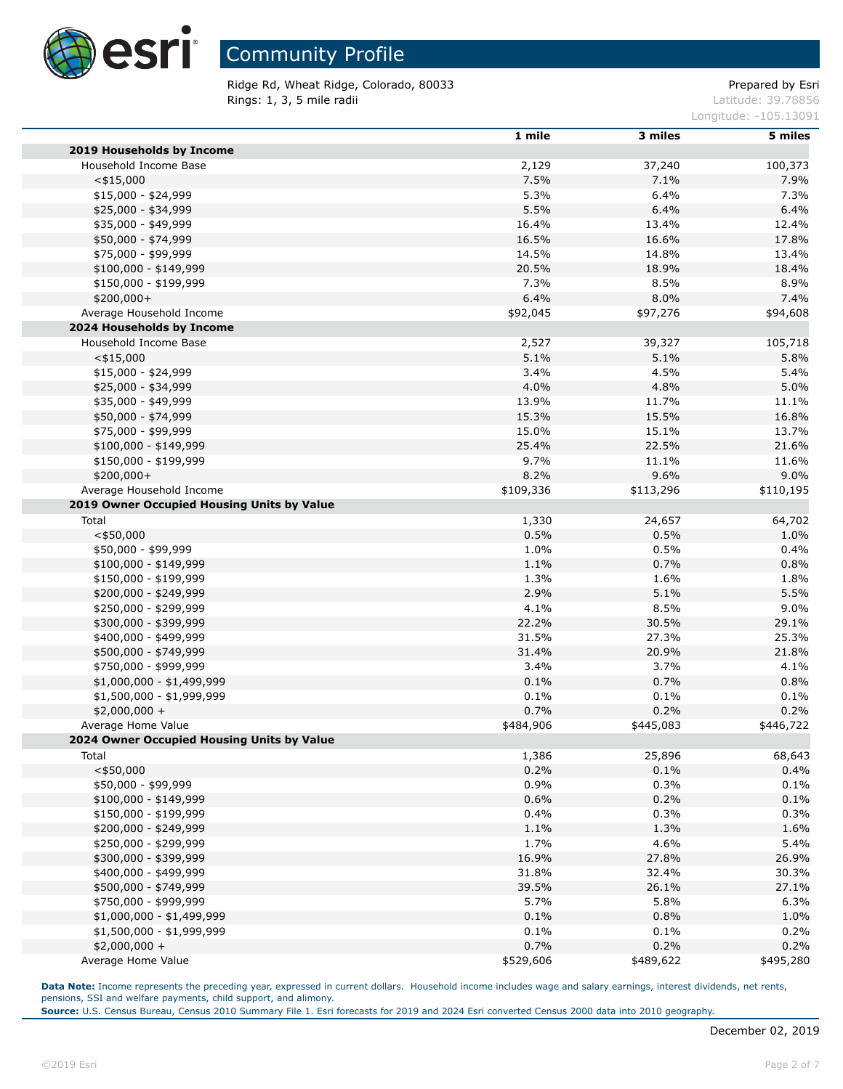

Ridge Rd, Wheat Ridge, Colorado, 80033 extending the part of the Prepared by Esri Rings: 1, 3, 5 mile radii and the state of the state of the contract of the latitude: 39.78856

Longitude: -105.13091

|                                            | 1 mile    | 3 miles   | 5 miles   |
|--------------------------------------------|-----------|-----------|-----------|
| 2019 Households by Income                  |           |           |           |
| Household Income Base                      | 2,129     | 37,240    | 100,373   |
| $<$ \$15,000                               | 7.5%      | 7.1%      | 7.9%      |
| $$15,000 - $24,999$                        | 5.3%      | 6.4%      | 7.3%      |
| \$25,000 - \$34,999                        | 5.5%      | 6.4%      | 6.4%      |
| \$35,000 - \$49,999                        | 16.4%     | 13.4%     | 12.4%     |
| \$50,000 - \$74,999                        | 16.5%     | 16.6%     | 17.8%     |
| \$75,000 - \$99,999                        | 14.5%     | 14.8%     | 13.4%     |
| $$100,000 - $149,999$                      | 20.5%     | 18.9%     | 18.4%     |
| \$150,000 - \$199,999                      | 7.3%      | 8.5%      | 8.9%      |
| \$200,000+                                 | 6.4%      | 8.0%      | 7.4%      |
| Average Household Income                   | \$92,045  | \$97,276  | \$94,608  |
| 2024 Households by Income                  |           |           |           |
| Household Income Base                      | 2,527     | 39,327    | 105,718   |
| $<$ \$15,000                               | 5.1%      | 5.1%      | 5.8%      |
| $$15,000 - $24,999$                        | 3.4%      | 4.5%      | 5.4%      |
| \$25,000 - \$34,999                        | 4.0%      | 4.8%      | 5.0%      |
| \$35,000 - \$49,999                        | 13.9%     | 11.7%     | 11.1%     |
| \$50,000 - \$74,999                        | 15.3%     | 15.5%     | 16.8%     |
| \$75,000 - \$99,999                        | 15.0%     | 15.1%     | 13.7%     |
|                                            | 25.4%     |           |           |
| $$100,000 - $149,999$                      | 9.7%      | 22.5%     | 21.6%     |
| \$150,000 - \$199,999                      |           | 11.1%     | 11.6%     |
| \$200,000+                                 | 8.2%      | 9.6%      | 9.0%      |
| Average Household Income                   | \$109,336 | \$113,296 | \$110,195 |
| 2019 Owner Occupied Housing Units by Value |           |           |           |
| Total                                      | 1,330     | 24,657    | 64,702    |
| $<$ \$50,000                               | 0.5%      | 0.5%      | 1.0%      |
| \$50,000 - \$99,999                        | 1.0%      | 0.5%      | 0.4%      |
| $$100,000 - $149,999$                      | 1.1%      | 0.7%      | 0.8%      |
| \$150,000 - \$199,999                      | 1.3%      | 1.6%      | 1.8%      |
| \$200,000 - \$249,999                      | 2.9%      | 5.1%      | 5.5%      |
| \$250,000 - \$299,999                      | 4.1%      | 8.5%      | 9.0%      |
| \$300,000 - \$399,999                      | 22.2%     | 30.5%     | 29.1%     |
| \$400,000 - \$499,999                      | 31.5%     | 27.3%     | 25.3%     |
| \$500,000 - \$749,999                      | 31.4%     | 20.9%     | 21.8%     |
| \$750,000 - \$999,999                      | 3.4%      | 3.7%      | 4.1%      |
| $$1,000,000 - $1,499,999$                  | 0.1%      | 0.7%      | 0.8%      |
| \$1,500,000 - \$1,999,999                  | 0.1%      | 0.1%      | 0.1%      |
| \$2,000,000 +                              | 0.7%      | 0.2%      | 0.2%      |
| Average Home Value                         | \$484,906 | \$445,083 | \$446,722 |
| 2024 Owner Occupied Housing Units by Value |           |           |           |
| Total                                      | 1,386     | 25,896    | 68,643    |
| $<$ \$50,000                               | 0.2%      | 0.1%      | 0.4%      |
| \$50,000 - \$99,999                        | 0.9%      | 0.3%      | 0.1%      |
| \$100,000 - \$149,999                      | 0.6%      | 0.2%      | 0.1%      |
| \$150,000 - \$199,999                      | 0.4%      | 0.3%      | 0.3%      |
| \$200,000 - \$249,999                      | 1.1%      | 1.3%      | 1.6%      |
| \$250,000 - \$299,999                      | 1.7%      | 4.6%      | 5.4%      |
| \$300,000 - \$399,999                      | 16.9%     | 27.8%     | 26.9%     |
| \$400,000 - \$499,999                      | 31.8%     | 32.4%     | 30.3%     |
| \$500,000 - \$749,999                      | 39.5%     | 26.1%     | 27.1%     |
| \$750,000 - \$999,999                      | 5.7%      | 5.8%      | 6.3%      |
| \$1,000,000 - \$1,499,999                  | 0.1%      | 0.8%      | 1.0%      |
| \$1,500,000 - \$1,999,999                  | 0.1%      | 0.1%      | 0.2%      |
| $$2,000,000 +$                             | 0.7%      | 0.2%      | 0.2%      |
| Average Home Value                         | \$529,606 | \$489,622 | \$495,280 |

Data Note: Income represents the preceding year, expressed in current dollars. Household income includes wage and salary earnings, interest dividends, net rents, pensions, SSI and welfare payments, child support, and alimony.

**Source:** U.S. Census Bureau, Census 2010 Summary File 1. Esri forecasts for 2019 and 2024 Esri converted Census 2000 data into 2010 geography.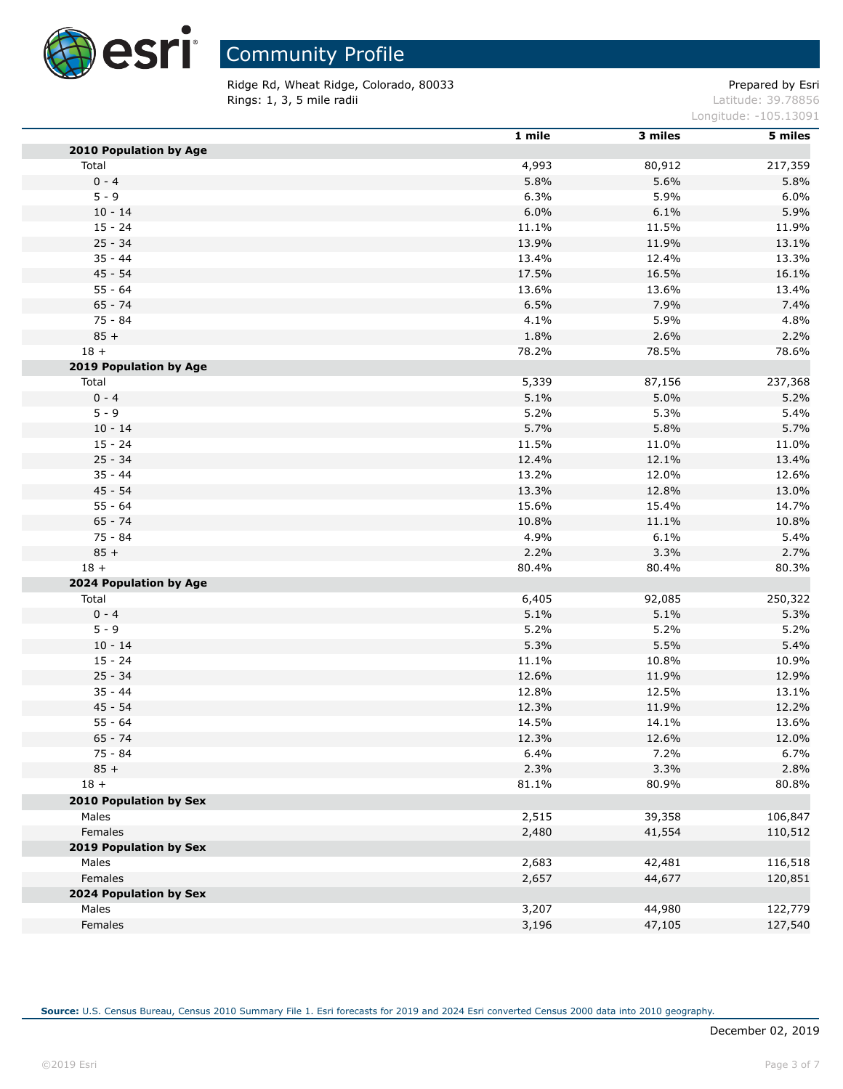

Ridge Rd, Wheat Ridge, Colorado, 80033 entitled and the extendio of the Prepared by Esri Rings: 1, 3, 5 mile radii and the state of the state of the contract of the latitude: 39.78856

Longitude: -105.13091

|                               | 1 mile | 3 miles | 5 miles |
|-------------------------------|--------|---------|---------|
| 2010 Population by Age        |        |         |         |
| Total                         | 4,993  | 80,912  | 217,359 |
| $0 - 4$                       | 5.8%   | 5.6%    | 5.8%    |
| $5 - 9$                       | 6.3%   | 5.9%    | 6.0%    |
| $10 - 14$                     | 6.0%   | 6.1%    | 5.9%    |
| $15 - 24$                     | 11.1%  | 11.5%   | 11.9%   |
| $25 - 34$                     | 13.9%  | 11.9%   | 13.1%   |
| $35 - 44$                     | 13.4%  | 12.4%   | 13.3%   |
| 45 - 54                       | 17.5%  | 16.5%   | 16.1%   |
| $55 - 64$                     | 13.6%  | 13.6%   | 13.4%   |
| $65 - 74$                     | 6.5%   | 7.9%    | 7.4%    |
| $75 - 84$                     | 4.1%   | 5.9%    | 4.8%    |
| $85 +$                        | 1.8%   | 2.6%    | 2.2%    |
| $18 +$                        | 78.2%  | 78.5%   | 78.6%   |
| 2019 Population by Age        |        |         |         |
| Total                         | 5,339  | 87,156  | 237,368 |
| $0 - 4$                       | 5.1%   | 5.0%    | 5.2%    |
| $5 - 9$                       | 5.2%   | 5.3%    | 5.4%    |
| $10 - 14$                     | 5.7%   | 5.8%    | 5.7%    |
| $15 - 24$                     | 11.5%  | 11.0%   | 11.0%   |
| $25 - 34$                     | 12.4%  | 12.1%   | 13.4%   |
| $35 - 44$                     | 13.2%  | 12.0%   | 12.6%   |
| $45 - 54$                     | 13.3%  | 12.8%   | 13.0%   |
| $55 - 64$                     | 15.6%  | 15.4%   | 14.7%   |
| $65 - 74$                     | 10.8%  | 11.1%   | 10.8%   |
| 75 - 84                       | 4.9%   | 6.1%    | 5.4%    |
| $85 +$                        | 2.2%   | 3.3%    | 2.7%    |
| $18 +$                        | 80.4%  | 80.4%   | 80.3%   |
| <b>2024 Population by Age</b> |        |         |         |
| Total                         | 6,405  | 92,085  | 250,322 |
| $0 - 4$                       | 5.1%   | 5.1%    | 5.3%    |
| $5 - 9$                       | 5.2%   | 5.2%    | 5.2%    |
| $10 - 14$                     | 5.3%   | 5.5%    | 5.4%    |
| $15 - 24$                     | 11.1%  | 10.8%   | 10.9%   |
| $25 - 34$                     | 12.6%  | 11.9%   | 12.9%   |
| $35 - 44$                     | 12.8%  | 12.5%   | 13.1%   |
| $45 - 54$                     | 12.3%  | 11.9%   | 12.2%   |
| $55 - 64$                     | 14.5%  | 14.1%   | 13.6%   |
| $65 - 74$                     | 12.3%  | 12.6%   | 12.0%   |
| 75 - 84                       | 6.4%   | 7.2%    | 6.7%    |
| $85 +$                        | 2.3%   | 3.3%    | 2.8%    |
| $18 +$                        | 81.1%  | 80.9%   | 80.8%   |
| 2010 Population by Sex        |        |         |         |
| Males                         | 2,515  | 39,358  | 106,847 |
| Females                       | 2,480  | 41,554  | 110,512 |
| <b>2019 Population by Sex</b> |        |         |         |
| Males                         | 2,683  | 42,481  | 116,518 |
| Females                       | 2,657  | 44,677  | 120,851 |
| <b>2024 Population by Sex</b> |        |         |         |
| Males                         | 3,207  | 44,980  | 122,779 |
| Females                       | 3,196  | 47,105  | 127,540 |
|                               |        |         |         |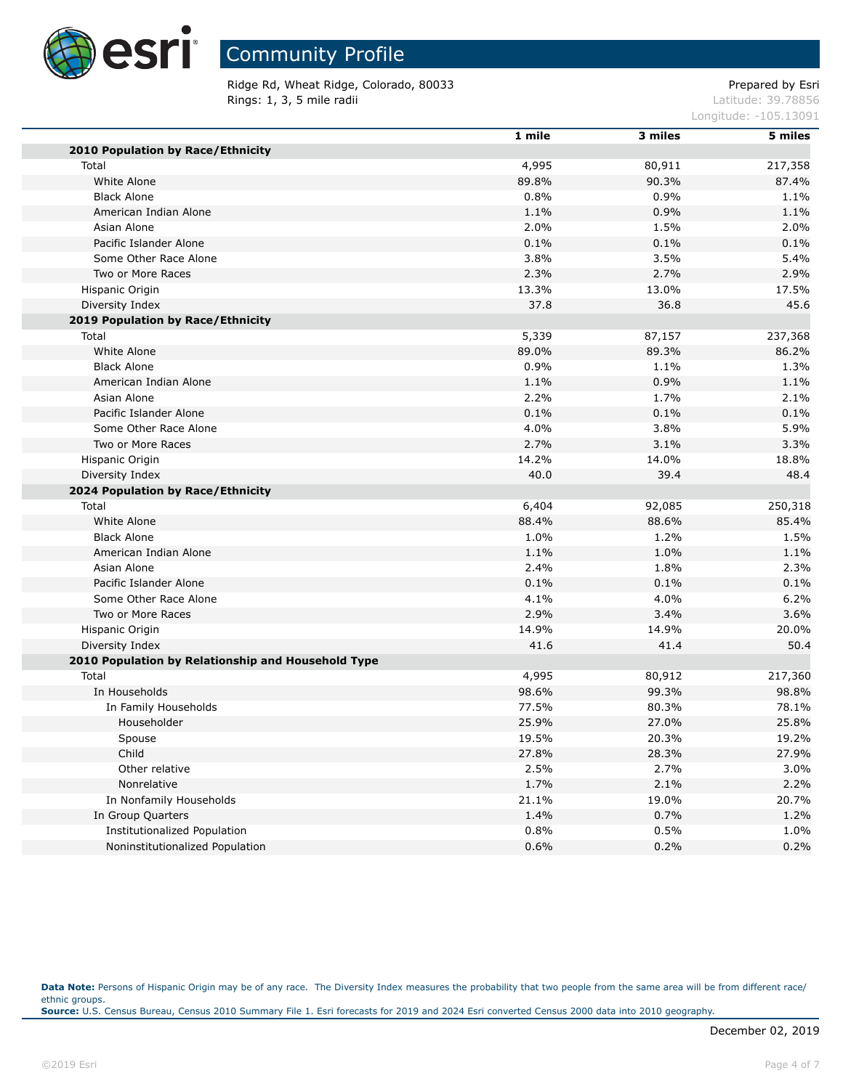

Ridge Rd, Wheat Ridge, Colorado, 80033 extending the part of the Prepared by Esri **Rings: 1, 3, 5 mile radii** Latitude: 39.78856

Longitude: -105.13091

|                                                    | 1 mile | 3 miles | 5 miles |
|----------------------------------------------------|--------|---------|---------|
| 2010 Population by Race/Ethnicity                  |        |         |         |
| Total                                              | 4,995  | 80,911  | 217,358 |
| White Alone                                        | 89.8%  | 90.3%   | 87.4%   |
| <b>Black Alone</b>                                 | 0.8%   | 0.9%    | 1.1%    |
| American Indian Alone                              | 1.1%   | 0.9%    | 1.1%    |
| Asian Alone                                        | 2.0%   | 1.5%    | 2.0%    |
| Pacific Islander Alone                             | 0.1%   | 0.1%    | 0.1%    |
| Some Other Race Alone                              | 3.8%   | 3.5%    | 5.4%    |
| Two or More Races                                  | 2.3%   | 2.7%    | 2.9%    |
| Hispanic Origin                                    | 13.3%  | 13.0%   | 17.5%   |
| Diversity Index                                    | 37.8   | 36.8    | 45.6    |
| 2019 Population by Race/Ethnicity                  |        |         |         |
| Total                                              | 5,339  | 87,157  | 237,368 |
| White Alone                                        | 89.0%  | 89.3%   | 86.2%   |
| <b>Black Alone</b>                                 | 0.9%   | 1.1%    | 1.3%    |
| American Indian Alone                              | 1.1%   | 0.9%    | 1.1%    |
| Asian Alone                                        | 2.2%   | 1.7%    | 2.1%    |
| Pacific Islander Alone                             | 0.1%   | 0.1%    | 0.1%    |
| Some Other Race Alone                              | 4.0%   | 3.8%    | 5.9%    |
| Two or More Races                                  | 2.7%   | 3.1%    | 3.3%    |
| Hispanic Origin                                    | 14.2%  | 14.0%   | 18.8%   |
| Diversity Index                                    | 40.0   | 39.4    | 48.4    |
| 2024 Population by Race/Ethnicity                  |        |         |         |
| Total                                              | 6,404  | 92,085  | 250,318 |
| White Alone                                        | 88.4%  | 88.6%   | 85.4%   |
| <b>Black Alone</b>                                 | 1.0%   | 1.2%    | 1.5%    |
| American Indian Alone                              | 1.1%   | 1.0%    | 1.1%    |
| Asian Alone                                        | 2.4%   | 1.8%    | 2.3%    |
| Pacific Islander Alone                             | 0.1%   | 0.1%    | 0.1%    |
| Some Other Race Alone                              | 4.1%   | 4.0%    | 6.2%    |
| Two or More Races                                  | 2.9%   | 3.4%    | 3.6%    |
| Hispanic Origin                                    | 14.9%  | 14.9%   | 20.0%   |
| Diversity Index                                    | 41.6   | 41.4    | 50.4    |
| 2010 Population by Relationship and Household Type |        |         |         |
| Total                                              | 4,995  | 80,912  | 217,360 |
| In Households                                      | 98.6%  | 99.3%   | 98.8%   |
| In Family Households                               | 77.5%  | 80.3%   | 78.1%   |
| Householder                                        | 25.9%  | 27.0%   | 25.8%   |
| Spouse                                             | 19.5%  | 20.3%   | 19.2%   |
| Child                                              | 27.8%  | 28.3%   | 27.9%   |
| Other relative                                     | 2.5%   | 2.7%    | 3.0%    |
| Nonrelative                                        | 1.7%   | 2.1%    | 2.2%    |
| In Nonfamily Households                            | 21.1%  | 19.0%   | 20.7%   |
| In Group Quarters                                  | 1.4%   | 0.7%    | 1.2%    |
| Institutionalized Population                       | 0.8%   | 0.5%    | 1.0%    |
| Noninstitutionalized Population                    | 0.6%   | 0.2%    | 0.2%    |
|                                                    |        |         |         |

Data Note: Persons of Hispanic Origin may be of any race. The Diversity Index measures the probability that two people from the same area will be from different race/ ethnic groups. **Source:** U.S. Census Bureau, Census 2010 Summary File 1. Esri forecasts for 2019 and 2024 Esri converted Census 2000 data into 2010 geography.

п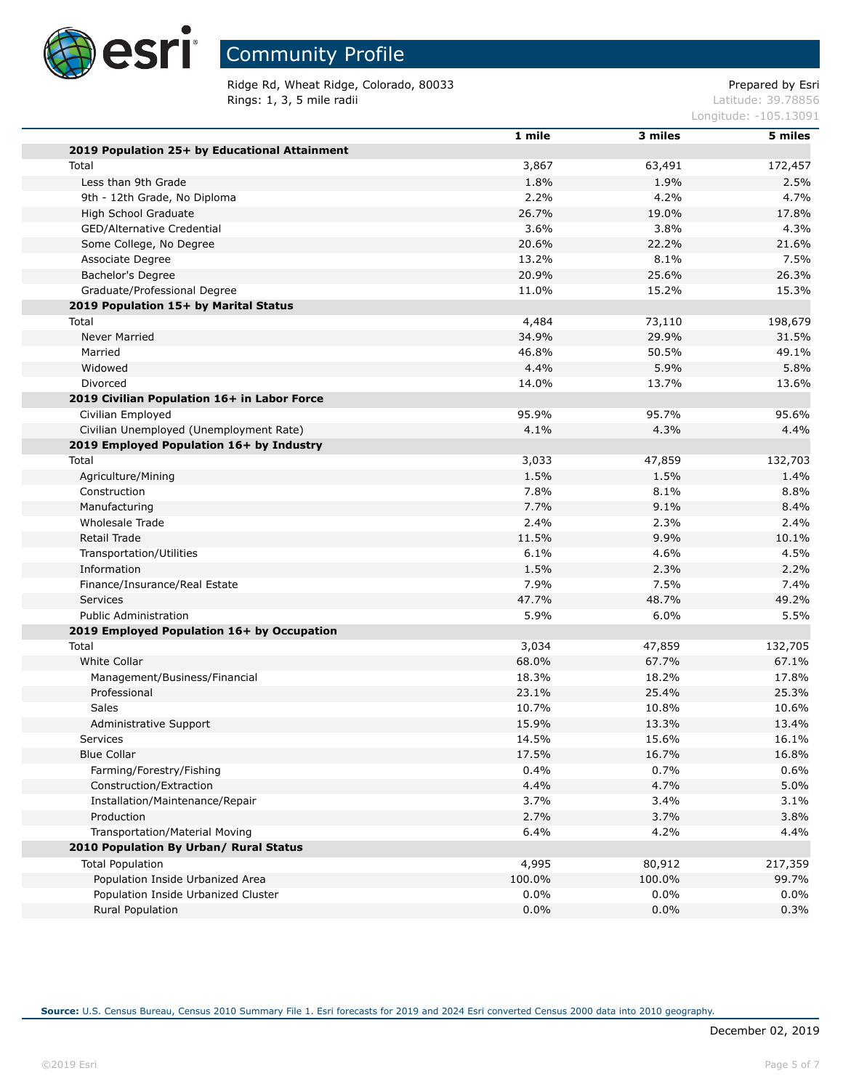

Ridge Rd, Wheat Ridge, Colorado, 80033 entitled and the extendio of the Prepared by Esri **Rings: 1, 3, 5 mile radii** Latitude: 39.78856

Longitude: -105.13091

|                                               | 1 mile  | 3 miles | 5 miles |
|-----------------------------------------------|---------|---------|---------|
| 2019 Population 25+ by Educational Attainment |         |         |         |
| Total                                         | 3,867   | 63,491  | 172,457 |
| Less than 9th Grade                           | 1.8%    | 1.9%    | 2.5%    |
| 9th - 12th Grade, No Diploma                  | 2.2%    | 4.2%    | 4.7%    |
| High School Graduate                          | 26.7%   | 19.0%   | 17.8%   |
| GED/Alternative Credential                    | 3.6%    | 3.8%    | 4.3%    |
| Some College, No Degree                       | 20.6%   | 22.2%   | 21.6%   |
| Associate Degree                              | 13.2%   | 8.1%    | 7.5%    |
| Bachelor's Degree                             | 20.9%   | 25.6%   | 26.3%   |
| Graduate/Professional Degree                  | 11.0%   | 15.2%   | 15.3%   |
| 2019 Population 15+ by Marital Status         |         |         |         |
| Total                                         | 4,484   | 73,110  | 198,679 |
| Never Married                                 | 34.9%   | 29.9%   | 31.5%   |
| Married                                       | 46.8%   | 50.5%   | 49.1%   |
| Widowed                                       | 4.4%    | 5.9%    | 5.8%    |
| Divorced                                      | 14.0%   | 13.7%   | 13.6%   |
| 2019 Civilian Population 16+ in Labor Force   |         |         |         |
| Civilian Employed                             | 95.9%   | 95.7%   | 95.6%   |
| Civilian Unemployed (Unemployment Rate)       | 4.1%    | 4.3%    | 4.4%    |
| 2019 Employed Population 16+ by Industry      |         |         |         |
| Total                                         | 3,033   | 47,859  | 132,703 |
| Agriculture/Mining                            | 1.5%    | 1.5%    | 1.4%    |
| Construction                                  | 7.8%    | 8.1%    | 8.8%    |
| Manufacturing                                 | 7.7%    | 9.1%    | 8.4%    |
| Wholesale Trade                               | 2.4%    | 2.3%    | 2.4%    |
| Retail Trade                                  | 11.5%   | 9.9%    | 10.1%   |
| Transportation/Utilities                      | 6.1%    | 4.6%    | 4.5%    |
| Information                                   | 1.5%    | 2.3%    | 2.2%    |
| Finance/Insurance/Real Estate                 | 7.9%    | 7.5%    | 7.4%    |
| <b>Services</b>                               | 47.7%   | 48.7%   | 49.2%   |
| <b>Public Administration</b>                  | 5.9%    | 6.0%    | 5.5%    |
| 2019 Employed Population 16+ by Occupation    |         |         |         |
| Total                                         | 3,034   | 47,859  | 132,705 |
| White Collar                                  | 68.0%   | 67.7%   | 67.1%   |
| Management/Business/Financial                 | 18.3%   | 18.2%   | 17.8%   |
| Professional                                  | 23.1%   | 25.4%   | 25.3%   |
| <b>Sales</b>                                  | 10.7%   | 10.8%   | 10.6%   |
| Administrative Support                        | 15.9%   | 13.3%   | 13.4%   |
| Services                                      | 14.5%   | 15.6%   | 16.1%   |
| <b>Blue Collar</b>                            | 17.5%   | 16.7%   | 16.8%   |
| Farming/Forestry/Fishing                      | 0.4%    | 0.7%    | 0.6%    |
| Construction/Extraction                       | 4.4%    | 4.7%    | 5.0%    |
| Installation/Maintenance/Repair               | 3.7%    | 3.4%    | 3.1%    |
| Production                                    | 2.7%    | 3.7%    | 3.8%    |
| Transportation/Material Moving                | 6.4%    | 4.2%    | 4.4%    |
| 2010 Population By Urban/ Rural Status        |         |         |         |
| <b>Total Population</b>                       | 4,995   | 80,912  | 217,359 |
| Population Inside Urbanized Area              | 100.0%  | 100.0%  | 99.7%   |
| Population Inside Urbanized Cluster           | $0.0\%$ | 0.0%    | $0.0\%$ |
| Rural Population                              | 0.0%    | 0.0%    | 0.3%    |
|                                               |         |         |         |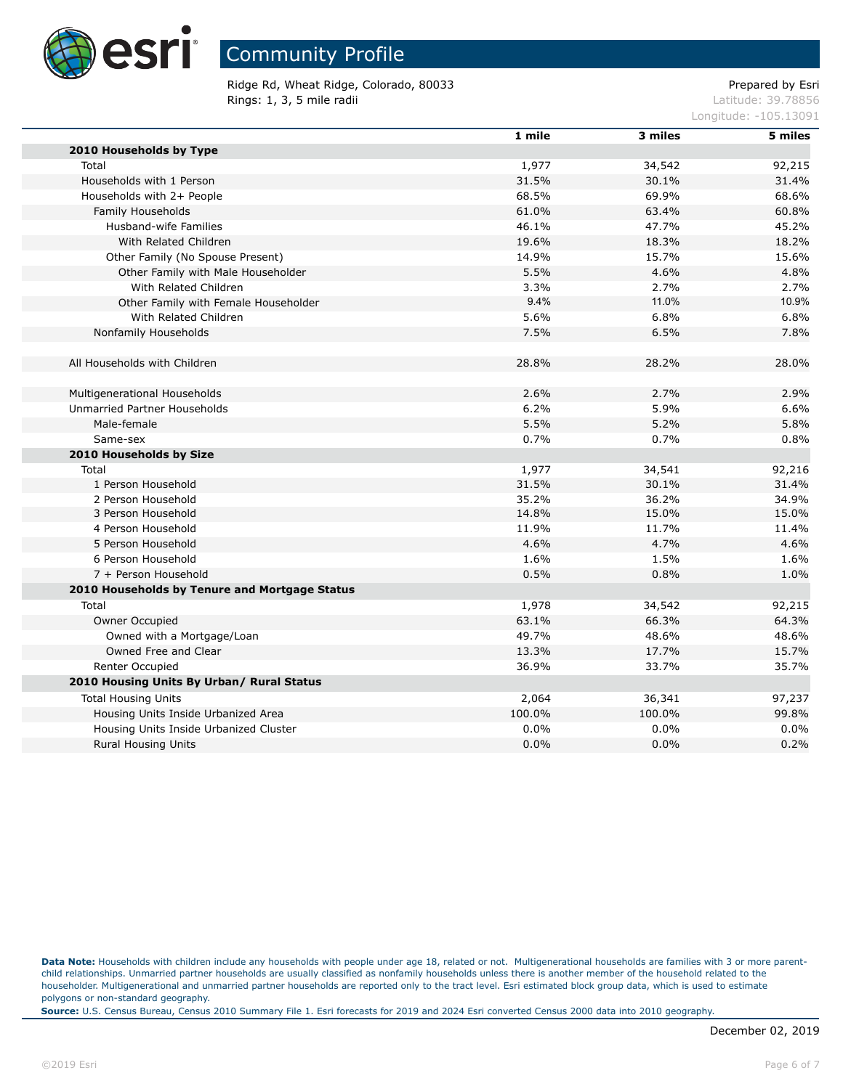

Ridge Rd, Wheat Ridge, Colorado, 80033 extending the part of the Prepared by Esri **Rings: 1, 3, 5 mile radii** Latitude: 39.78856

Longitude: -105.13091

|                                               | 1 mile | 3 miles | 5 miles |
|-----------------------------------------------|--------|---------|---------|
| 2010 Households by Type                       |        |         |         |
| Total                                         | 1,977  | 34,542  | 92,215  |
| Households with 1 Person                      | 31.5%  | 30.1%   | 31.4%   |
| Households with 2+ People                     | 68.5%  | 69.9%   | 68.6%   |
| Family Households                             | 61.0%  | 63.4%   | 60.8%   |
| Husband-wife Families                         | 46.1%  | 47.7%   | 45.2%   |
| With Related Children                         | 19.6%  | 18.3%   | 18.2%   |
| Other Family (No Spouse Present)              | 14.9%  | 15.7%   | 15.6%   |
| Other Family with Male Householder            | 5.5%   | 4.6%    | 4.8%    |
| With Related Children                         | 3.3%   | 2.7%    | 2.7%    |
| Other Family with Female Householder          | 9.4%   | 11.0%   | 10.9%   |
| With Related Children                         | 5.6%   | 6.8%    | 6.8%    |
| Nonfamily Households                          | 7.5%   | 6.5%    | 7.8%    |
|                                               |        |         |         |
| All Households with Children                  | 28.8%  | 28.2%   | 28.0%   |
|                                               |        |         |         |
| Multigenerational Households                  | 2.6%   | 2.7%    | 2.9%    |
| Unmarried Partner Households                  | 6.2%   | 5.9%    | 6.6%    |
| Male-female                                   | 5.5%   | 5.2%    | 5.8%    |
| Same-sex                                      | 0.7%   | 0.7%    | 0.8%    |
| 2010 Households by Size                       |        |         |         |
| Total                                         | 1,977  | 34,541  | 92,216  |
| 1 Person Household                            | 31.5%  | 30.1%   | 31.4%   |
| 2 Person Household                            | 35.2%  | 36.2%   | 34.9%   |
| 3 Person Household                            | 14.8%  | 15.0%   | 15.0%   |
| 4 Person Household                            | 11.9%  | 11.7%   | 11.4%   |
| 5 Person Household                            | 4.6%   | 4.7%    | 4.6%    |
| 6 Person Household                            | 1.6%   | 1.5%    | 1.6%    |
| 7 + Person Household                          | 0.5%   | 0.8%    | 1.0%    |
| 2010 Households by Tenure and Mortgage Status |        |         |         |
| Total                                         | 1,978  | 34,542  | 92,215  |
| Owner Occupied                                | 63.1%  | 66.3%   | 64.3%   |
| Owned with a Mortgage/Loan                    | 49.7%  | 48.6%   | 48.6%   |
| Owned Free and Clear                          | 13.3%  | 17.7%   | 15.7%   |
| Renter Occupied                               | 36.9%  | 33.7%   | 35.7%   |
| 2010 Housing Units By Urban/ Rural Status     |        |         |         |
| <b>Total Housing Units</b>                    | 2,064  | 36,341  | 97,237  |
| Housing Units Inside Urbanized Area           | 100.0% | 100.0%  | 99.8%   |
| Housing Units Inside Urbanized Cluster        | 0.0%   | 0.0%    | 0.0%    |
| <b>Rural Housing Units</b>                    | 0.0%   | 0.0%    | 0.2%    |
|                                               |        |         |         |

Data Note: Households with children include any households with people under age 18, related or not. Multigenerational households are families with 3 or more parentchild relationships. Unmarried partner households are usually classified as nonfamily households unless there is another member of the household related to the householder. Multigenerational and unmarried partner households are reported only to the tract level. Esri estimated block group data, which is used to estimate polygons or non-standard geography.

**Source:** U.S. Census Bureau, Census 2010 Summary File 1. Esri forecasts for 2019 and 2024 Esri converted Census 2000 data into 2010 geography.